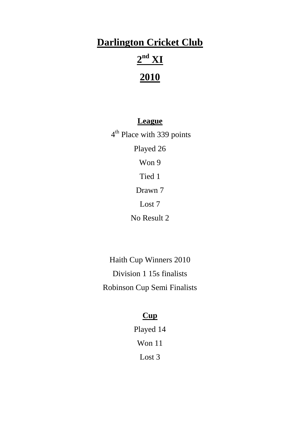# **Darlington Cricket Club**

# **2 nd XI**

# **2010**

#### **League**

4<sup>th</sup> Place with 339 points Played 26 Won 9 Tied 1 Drawn 7 Lost 7 No Result 2

Haith Cup Winners 2010 Division 1 15s finalists Robinson Cup Semi Finalists

# **Cup**

Played 14 Won 11 Lost 3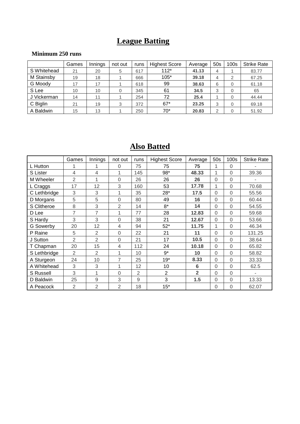## **League Batting**

#### **Minimum 250 runs**

|             | Games | Innings | not out | runs | <b>Highest Score</b> | Average | 50s | 100 <sub>s</sub> | <b>Strike Rate</b> |
|-------------|-------|---------|---------|------|----------------------|---------|-----|------------------|--------------------|
| S Whitehead | 21    | 20      | 5       | 617  | $112*$               | 41.13   | 4   |                  | 83.77              |
| M Stainsby  | 19    | 18      |         | 666  | $105*$               | 39.18   | 4   | 2                | 67.25              |
| G Moody     | 17    | 17      |         | 618  | 99                   | 38.63   | 6   | 0                | 61.18              |
| S Lee       | 10    | 10      |         | 345  | 61                   | 34.5    | 3   | 0                | 65                 |
| J Vickerman | 14    | 11      |         | 254  | 72                   | 25.4    |     | 0                | 44.44              |
| C Biglin    | 21    | 19      | 3       | 372  | $67*$                | 23.25   | 3   | 0                | 69.18              |
| A Baldwin   | 15    | 13      |         | 250  | $70*$                | 20.83   | 2   |                  | 51.92              |

### **Also Batted**

|              | Games          | <b>Innings</b> | not out        | runs           | <b>Highest Score</b> | Average        | 50s            | 100s           | <b>Strike Rate</b> |
|--------------|----------------|----------------|----------------|----------------|----------------------|----------------|----------------|----------------|--------------------|
| L Hutton     |                |                | 0              | 75             | 75                   | 75             | 1              | 0              |                    |
| S Lister     | $\overline{4}$ | 4              | 1              | 145            | 98*                  | 48.33          | 1              | $\mathbf 0$    | 39.36              |
| M Wheeler    | $\overline{2}$ | 1              | $\Omega$       | 26             | 26                   | 26             | $\Omega$       | $\mathbf 0$    |                    |
| L Craggs     | 17             | 12             | 3              | 160            | 53                   | 17.78          | 1              | $\mathbf 0$    | 70.68              |
| C Lethbridge | 3              | 3              | 1              | 35             | 28*                  | 17.5           | $\Omega$       | $\overline{0}$ | 55.56              |
| D Morgans    | 5              | 5              | $\mathbf 0$    | 80             | 49                   | 16             | $\overline{0}$ | $\mathbf 0$    | 60.44              |
| S Clitheroe  | 8              | 3              | $\overline{2}$ | 14             | $8*$                 | 14             | $\overline{0}$ | $\mathbf 0$    | 54.55              |
| D Lee        | 7              | 7              | 1              | 77             | 28                   | 12.83          | $\Omega$       | $\mathbf 0$    | 59.68              |
| S Hardy      | 3              | 3              | $\mathbf 0$    | 38             | 21                   | 12.67          | $\overline{0}$ | $\overline{0}$ | 53.66              |
| G Sowerby    | 20             | 12             | $\overline{4}$ | 94             | $52*$                | 11.75          | 1              | $\overline{0}$ | 46.34              |
| P Raine      | 5              | $\overline{2}$ | 0              | 22             | 21                   | 11             | $\overline{0}$ | $\overline{0}$ | 131.25             |
| J Sutton     | $\overline{2}$ | $\overline{2}$ | 0              | 21             | 17                   | 10.5           | $\Omega$       | $\mathbf 0$    | 38.64              |
| T Chapman    | 20             | 15             | $\overline{4}$ | 112            | 24                   | 10.18          | $\overline{0}$ | $\mathbf 0$    | 65.82              |
| S Lethbridge | $\overline{2}$ | $\overline{2}$ | 1              | 10             | $9*$                 | 10             | $\overline{0}$ | $\overline{0}$ | 58.82              |
| A Sturgeon   | 24             | 10             | $\overline{7}$ | 25             | $19*$                | 8.33           | $\overline{0}$ | $\mathbf 0$    | 33.33              |
| A Whitehead  | 3              | 3              | 1              | 12             | 10                   | 6              | $\Omega$       | $\Omega$       | 62.5               |
| S Russell    | 3              | 1              | $\mathbf 0$    | $\overline{2}$ | $\overline{2}$       | $\overline{2}$ | $\Omega$       | $\mathbf 0$    |                    |
| D Baldwin    | 25             | 9              | 3              | 9              | 3                    | 1.5            | 0              | $\mathbf 0$    | 13.33              |
| A Peacock    | $\overline{2}$ | $\overline{2}$ | $\overline{2}$ | 18             | $15*$                |                | 0              | 0              | 62.07              |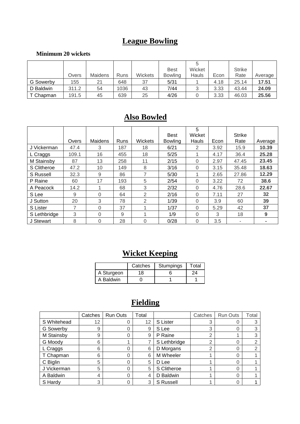## **League Bowling**

#### **Minimum 20 wickets**

|                  |       |                |      |                | <b>Best</b>    | Wicket |      | <b>Strike</b> |         |
|------------------|-------|----------------|------|----------------|----------------|--------|------|---------------|---------|
|                  | Overs | <b>Maidens</b> | Runs | <b>Wickets</b> | <b>Bowling</b> | Hauls  | Econ | Rate          | Average |
| <b>G</b> Sowerby | 155   | 21             | 648  | 37             | 5/31           |        | 4.18 | 25.14         | 17.51   |
| D Baldwin        | 311.2 | 54             | 1036 | 43             | 7/44           |        | 3.33 | 43.44         | 24.09   |
| T Chapman        | 191.5 | 45             | 639  | 25             | 4/26           |        | 3.33 | 46.03         | 25.56   |

# **Also Bowled**

|              | Overs | Maidens  | Runs | Wickets | <b>Best</b><br><b>Bowling</b> | 5<br>Wicket<br>Hauls | Econ | <b>Strike</b><br>Rate | Average |
|--------------|-------|----------|------|---------|-------------------------------|----------------------|------|-----------------------|---------|
| J Vickerman  | 47.4  | 3        | 187  | 18      | 6/21                          | 2                    | 3.92 | 15.9                  | 10.39   |
| L Craggs     | 109.1 | 16       | 455  | 18      | 5/25                          | 1                    | 4.17 | 36.4                  | 25.28   |
| M Stainsby   | 87    | 13       | 258  | 11      | 2/15                          | 0                    | 2.97 | 47.45                 | 23.45   |
| S Clitheroe  | 47.2  | 10       | 149  | 8       | 3/16                          | $\Omega$             | 3.15 | 35.48                 | 18.63   |
| S Russell    | 32.3  | 9        | 86   | 7       | 5/30                          | 4                    | 2.65 | 27.86                 | 12.29   |
| P Raine      | 60    | 17       | 193  | 5       | 2/54                          | $\Omega$             | 3.22 | 72                    | 38.6    |
| A Peacock    | 14.2  |          | 68   | 3       | 2/32                          | $\Omega$             | 4.76 | 28.6                  | 22.67   |
| S Lee        | 9     | 0        | 64   | 2       | 2/16                          | $\Omega$             | 7.11 | 27                    | 32      |
| J Sutton     | 20    | 3        | 78   | 2       | 1/39                          | 0                    | 3.9  | 60                    | 39      |
| S Lister     | 7     | $\Omega$ | 37   |         | 1/37                          | $\Omega$             | 5.29 | 42                    | 37      |
| S Lethbridge | 3     | 0        | 9    |         | 1/9                           | 0                    | 3    | 18                    | 9       |
| J Stewart    | 8     | 0        | 28   | 0       | 0/28                          | 0                    | 3.5  | ۰                     | -       |

# **Wicket Keeping**

|            | Catches | Stumpings | Total |
|------------|---------|-----------|-------|
| A Sturgeon | 18      |           | 74.   |
| A Baldwin  |         |           |       |

# **Fielding**

|             | Catches | <b>Run Outs</b> | Total |              | Catches | <b>Run Outs</b> | Total |
|-------------|---------|-----------------|-------|--------------|---------|-----------------|-------|
| S Whitehead | 12      |                 | 12    | S Lister     | 3       |                 |       |
| G Sowerby   | 9       |                 | 9     | S Lee        | 3       |                 | 3     |
| M Stainsby  | 9       |                 | 9     | P Raine      | 2       |                 | 3     |
| G Moody     | 6       |                 |       | S Lethbridge | 2       |                 | 2     |
| L Craggs    | 6       | 0               | 6     | D Morgans    | 2       |                 | 2     |
| T Chapman   | 6       |                 | 6     | M Wheeler    |         |                 |       |
| C Biglin    | 5       | 0               | 5     | D Lee        |         |                 |       |
| J Vickerman | 5       | 0               | 5     | S Clitheroe  |         |                 |       |
| A Baldwin   | 4       | 0               | 4     | D Baldwin    |         |                 |       |
| S Hardy     | 3       |                 | 3     | S Russell    |         |                 |       |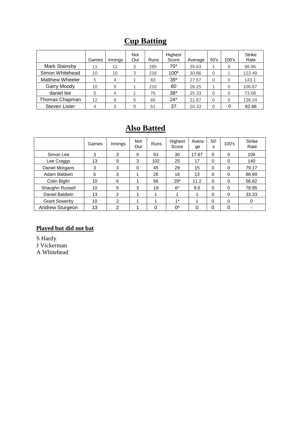# **Cup Batting**

|                      | Games | Innings | <b>Not</b><br>Out | Runs | Highest<br>Score | Average | 50's     | 100's    | <b>Strike</b><br>Rate |
|----------------------|-------|---------|-------------------|------|------------------|---------|----------|----------|-----------------------|
| Mark Stainsby        | 11    | 11      | 3                 | 285  | $70*$            | 35.63   |          | 0        | 98.96                 |
| Simon Whitehead      | 10    | 10      | 3                 | 216  | $100*$           | 30.86   | $\Omega$ |          | 123.49                |
| Matthew Wheeler      | 5     | 4       |                   | 83   | $39*$            | 27.67   | $\Omega$ | 0        | 143.1                 |
| <b>Garry Moody</b>   | 10    | 9       |                   | 210  | 60               | 26.25   |          | 0        | 106.67                |
| daniel lee           | 5     | 4       |                   | 76   | $38*$            | 25.33   | $\Omega$ | 0        | 73.08                 |
| Thomas Chapman       | 12    | 8       | 5                 | 65   | $24*$            | 21.67   | $\Omega$ | 0        | 138.24                |
| <b>Steven Lister</b> | 4     | 3       | 0                 | 61   | 37               | 20.33   | 0        | $\theta$ | 82.86                 |

### **Also Batted**

|                      | Games | Innings       | <b>Not</b><br>Out | <b>Runs</b> | Highest<br>Score | Avera<br>ge | 50'<br>s | 100's    | <b>Strike</b><br>Rate |
|----------------------|-------|---------------|-------------------|-------------|------------------|-------------|----------|----------|-----------------------|
| Simon Lee            | 3     | 3             | 0                 | 53          | 30               | 17.67       | 0        | $\Omega$ | 106                   |
| Lee Craggs           | 13    | 9             | 3                 | 102         | 25               | 17          | 0        | $\Omega$ | 140                   |
| Daniel Morgans       | 3     | 3             | 0                 | 45          | 29               | 15          | $\Omega$ | 0        | 79.17                 |
| Adam Baldwin         | 6     | 3             |                   | 26          | 16               | 13          | 0        | 0        | 88.89                 |
| Colin Biglin         | 10    | 6             |                   | 56          | $29*$            | 11.2        | $\Omega$ | 0        | 56.82                 |
| Shaughn Russell      | 10    | 5             | 3                 | 19          | $6*$             | 9.5         | $\Omega$ | $\Omega$ | 78.95                 |
| Daniel Baldwin       | 13    | $\mathcal{P}$ |                   |             |                  | 1           | $\Omega$ | $\Omega$ | 33.33                 |
| <b>Grant Sowerby</b> | 10    | $\mathcal{P}$ |                   |             | $1*$             |             | 0        | $\Omega$ | 0                     |
| Andrew Sturgeon      | 13    | 2             |                   | 0           | $0^*$            | 0           | 0        | 0        |                       |

#### **Played but did not bat**

S Hardy J Vickerman

A Whitehead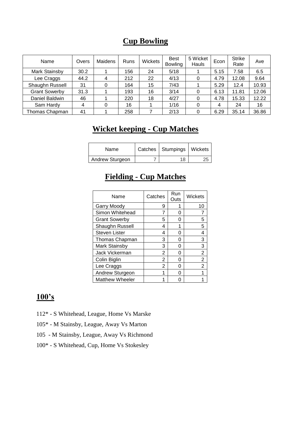#### **Cup Bowling**

| Name                 | Overs | Maidens | Runs | Wickets | <b>Best</b><br><b>Bowling</b> | 5 Wicket<br>Hauls | Econ | <b>Strike</b><br>Rate | Ave   |
|----------------------|-------|---------|------|---------|-------------------------------|-------------------|------|-----------------------|-------|
| Mark Stainsby        | 30.2  |         | 156  | 24      | 5/18                          |                   | 5.15 | 7.58                  | 6.5   |
| Lee Craggs           | 44.2  |         | 212  | 22      | 4/13                          | 0                 | 4.79 | 12.08                 | 9.64  |
| Shaughn Russell      | 31    | 0       | 164  | 15      | 7/43                          |                   | 5.29 | 12.4                  | 10.93 |
| <b>Grant Sowerby</b> | 31.3  |         | 193  | 16      | 3/14                          | $\Omega$          | 6.13 | 11.81                 | 12.06 |
| Daniel Baldwin       | 46    |         | 220  | 18      | 4/27                          | 0                 | 4.78 | 15.33                 | 12.22 |
| Sam Hardy            | 4     | 0       | 16   |         | 1/16                          |                   | 4    | 24                    | 16    |
| Thomas Chapman       | 41    |         | 258  |         | 2/13                          | $\Omega$          | 6.29 | 35.14                 | 36.86 |

### **Wicket keeping - Cup Matches**

| Name            | Catches   Stumpings   Wickets |  |
|-----------------|-------------------------------|--|
| Andrew Sturgeon | 18                            |  |

### **Fielding - Cup Matches**

| Name                   | Catches | Run<br>Outs | Wickets |
|------------------------|---------|-------------|---------|
| Garry Moody            | 9       |             | 10      |
| Simon Whitehead        | 7       | 0           |         |
| <b>Grant Sowerby</b>   | 5       |             | 5       |
| Shaughn Russell        | 4       | 1           | 5       |
| <b>Steven Lister</b>   | 4       | O           | 4       |
| Thomas Chapman         | 3       | O           | 3       |
| Mark Stainsby          | 3       | O           | 3       |
| Jack Vickerman         | 2       | 0           | 2       |
| Colin Biglin           | 2       |             | 2       |
| Lee Craggs             | 2       | O           | 2       |
| Andrew Sturgeon        |         |             |         |
| <b>Matthew Wheeler</b> |         |             |         |
|                        |         |             |         |

### **100's**

- 112\* S Whitehead, League, Home Vs Marske
- 105\* M Stainsby, League, Away Vs Marton
- 105 M Stainsby, League, Away Vs Richmond
- 100\* S Whitehead, Cup, Home Vs Stokesley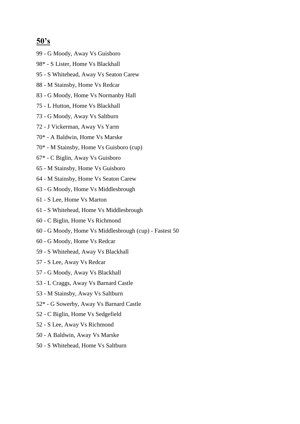#### **50's**

- 99 G Moody, Away Vs Guisboro
- 98\* S Lister, Home Vs Blackhall
- 95 S Whitehead, Away Vs Seaton Carew
- 88 M Stainsby, Home Vs Redcar
- 83 G Moody, Home Vs Normanby Hall
- 75 L Hutton, Home Vs Blackhall
- 73 G Moody, Away Vs Saltburn
- 72 J Vickerman, Away Vs Yarm
- 70\* A Baldwin, Home Vs Marske
- 70\* M Stainsby, Home Vs Guisboro (cup)
- 67\* C Biglin, Away Vs Guisboro
- 65 M Stainsby, Home Vs Guisboro
- 64 M Stainsby, Home Vs Seaton Carew
- 63 G Moody, Home Vs Middlesbrough
- 61 S Lee, Home Vs Marton
- 61 S Whitehead, Home Vs Middlesbrough
- 60 C Biglin, Home Vs Richmond
- 60 G Moody, Home Vs Middlesbrough (cup) Fastest 50
- 60 G Moody, Home Vs Redcar
- 59 S Whitehead, Away Vs Blackhall
- 57 S Lee, Away Vs Redcar
- 57 G Moody, Away Vs Blackhall
- 53 L Craggs, Away Vs Barnard Castle
- 53 M Stainsby, Away Vs Saltburn
- 52\* G Sowerby, Away Vs Barnard Castle
- 52 C Biglin, Home Vs Sedgefield
- 52 S Lee, Away Vs Richmond
- 50 A Baldwin, Away Vs Marske
- 50 S Whitehead, Home Vs Saltburn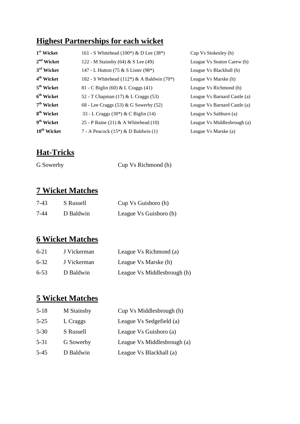### **Highest Partnerships for each wicket**

| 1 <sup>st</sup> Wicket  | 161 - S Whitehead (100*) & D Lee (38*)     | Cup Vs Stokesley (h)         |
|-------------------------|--------------------------------------------|------------------------------|
| 2 <sup>nd</sup> Wicket  | 122 - M Stainsby (64) & S Lee (49)         | League Vs Seaton Carew (h)   |
| 3 <sup>rd</sup> Wicket  | 147 - L Hutton (75 & S Lister (98*)        | League Vs Blackhall (h)      |
| 4 <sup>th</sup> Wicket  | 182 - S Whitehead (112*) & A Baldwin (70*) | League Vs Marske (h)         |
| 5 <sup>th</sup> Wicket  | 81 - C Biglin (60) & L Craggs (41)         | League Vs Richmond (h)       |
| 6 <sup>th</sup> Wicket  | 52 - T Chapman (17) & L Craggs (53)        | League Vs Barnard Castle (a) |
| 7 <sup>th</sup> Wicket  | 68 - Lee Craggs (53) & G Sowerby (52)      | League Vs Barnard Castle (a) |
| 8 <sup>th</sup> Wicket  | 33 - L Craggs (30*) & C Biglin (14)        | League Vs Saltburn (a)       |
| 9 <sup>th</sup> Wicket  | 25 - P Raine (21) & A Whitehead (10)       | League Vs Middlesbrough (a)  |
| 10 <sup>th</sup> Wicket | 7 - A Peacock $(15^*)$ & D Baldwin $(1)$   | League Vs Marske (a)         |

#### **Hat-Tricks**

G Sowerby Cup Vs Richmond (h)

#### **7 Wicket Matches**

| 7-43 | S Russell | Cup Vs Guisboro (h)    |
|------|-----------|------------------------|
| 7-44 | D Baldwin | League Vs Guisboro (h) |

#### **6 Wicket Matches**

| $6-21$   | J Vickerman | League Vs Richmond (a)      |  |
|----------|-------------|-----------------------------|--|
| $6 - 32$ | J Vickerman | League Vs Marske (h)        |  |
| $6 - 53$ | D Baldwin   | League Vs Middlesbrough (h) |  |

### **5 Wicket Matches**

| $5 - 18$ | M Stainsby | Cup Vs Middlesbrough (h)    |
|----------|------------|-----------------------------|
| $5 - 25$ | L Craggs   | League Vs Sedgefield (a)    |
| $5 - 30$ | S Russell  | League Vs Guisboro (a)      |
| $5 - 31$ | G Sowerby  | League Vs Middlesbrough (a) |
| $5-45$   | D Baldwin  | League Vs Blackhall (a)     |